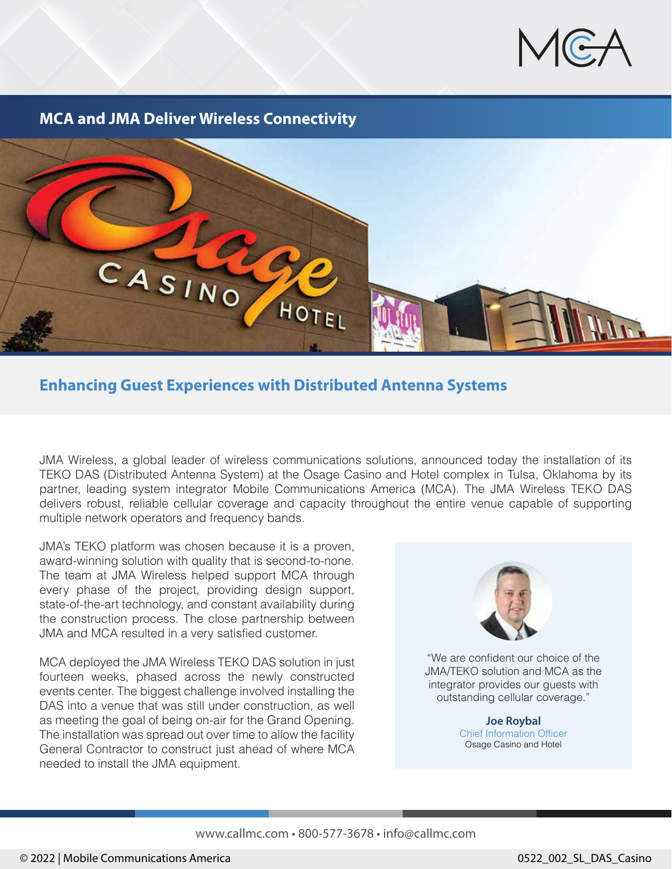

**MCA and JMA Deliver Wireless Connectivity**



#### **Enhancing Guest Experiences with Distributed Antenna Systems**

JMA Wireless, a global leader of wireless communications solutions, announced today the installation of its TEKO DAS (Distributed Antenna System) at the Osage Casino and Hotel complex in Tulsa, Oklahoma by its partner, leading system integrator Mobile Communications America (MCA). The JMA Wireless TEKO DAS delivers robust, reliable cellular coverage and capacity throughout the entire venue capable of supporting multiple network operators and frequency bands.

JMA's TEKO platform was chosen because it is a proven, award-winning solution with quality that is second-to-none. The team at JMA Wireless helped support MCA through every phase of the project, providing design support, state-of-the-art technology, and constant availability during the construction process. The close partnership between JMA and MCA resulted in a very satisfied customer.

MCA deployed the JMA Wireless TEKO DAS solution in just fourteen weeks, phased across the newly constructed events center. The biggest challenge involved installing the DAS into a venue that was still under construction, as well as meeting the goal of being on-air for the Grand Opening. The installation was spread out over time to allow the facility General Contractor to construct just ahead of where MCA needed to install the JMA equipment.



"We are confident our choice of the JMA/TEKO solution and MCA as the integrator provides our guests with outstanding cellular coverage."

> **Joe Roybal** Chief Information Officer Osage Casino and Hotel